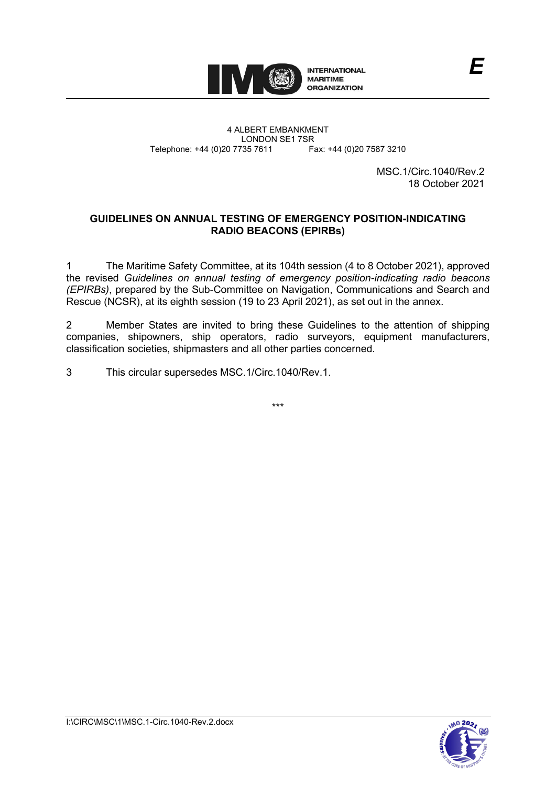

4 ALBERT EMBANKMENT Telephone: +44 (0)20 7735 7611

LONDON SE1 7SR<br>735 7611 Fax: +44 (0)20 7587 3210

MSC.1/Circ.1040/Rev.2 18 October 2021

*E*

## **GUIDELINES ON ANNUAL TESTING OF EMERGENCY POSITION-INDICATING RADIO BEACONS (EPIRBs)**

1 The Maritime Safety Committee, at its 104th session (4 to 8 October 2021), approved the revised *Guidelines on annual testing of emergency position-indicating radio beacons (EPIRBs)*, prepared by the Sub-Committee on Navigation, Communications and Search and Rescue (NCSR), at its eighth session (19 to 23 April 2021), as set out in the annex.

2 Member States are invited to bring these Guidelines to the attention of shipping companies, shipowners, ship operators, radio surveyors, equipment manufacturers, classification societies, shipmasters and all other parties concerned.

\*\*\*

3 This circular supersedes MSC.1/Circ.1040/Rev.1.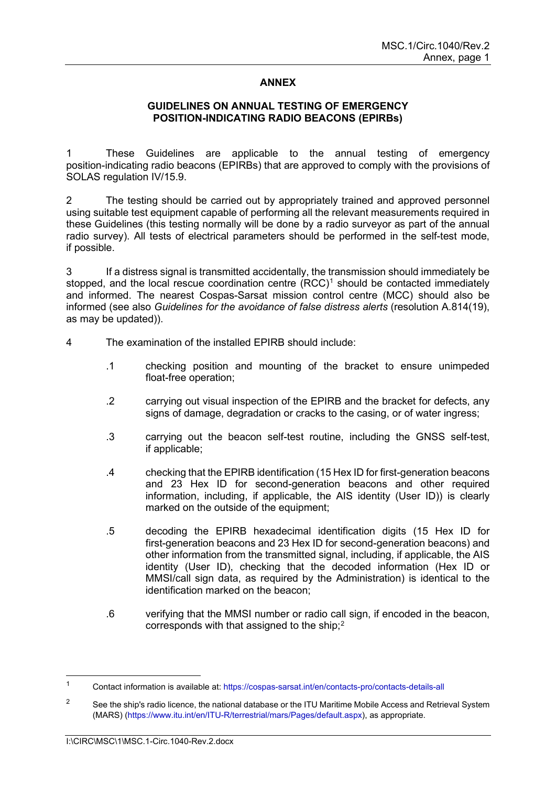## **ANNEX**

## **GUIDELINES ON ANNUAL TESTING OF EMERGENCY POSITION-INDICATING RADIO BEACONS (EPIRBs)**

1 These Guidelines are applicable to the annual testing of emergency position-indicating radio beacons (EPIRBs) that are approved to comply with the provisions of SOLAS regulation IV/15.9.

2 The testing should be carried out by appropriately trained and approved personnel using suitable test equipment capable of performing all the relevant measurements required in these Guidelines (this testing normally will be done by a radio surveyor as part of the annual radio survey). All tests of electrical parameters should be performed in the self-test mode, if possible.

3 If a distress signal is transmitted accidentally, the transmission should immediately be stopped, and the local rescue coordination centre  $(RCC)^1$  $(RCC)^1$  should be contacted immediately and informed. The nearest Cospas-Sarsat mission control centre (MCC) should also be informed (see also *Guidelines for the avoidance of false distress alerts* (resolution A.814(19), as may be updated)).

- 4 The examination of the installed EPIRB should include:
	- .1 checking position and mounting of the bracket to ensure unimpeded float-free operation;
	- .2 carrying out visual inspection of the EPIRB and the bracket for defects, any signs of damage, degradation or cracks to the casing, or of water ingress;
	- .3 carrying out the beacon self-test routine, including the GNSS self-test, if applicable;
	- .4 checking that the EPIRB identification (15 Hex ID for first-generation beacons and 23 Hex ID for second-generation beacons and other required information, including, if applicable, the AIS identity (User ID)) is clearly marked on the outside of the equipment;
	- .5 decoding the EPIRB hexadecimal identification digits (15 Hex ID for first-generation beacons and 23 Hex ID for second-generation beacons) and other information from the transmitted signal, including, if applicable, the AIS identity (User ID), checking that the decoded information (Hex ID or MMSI/call sign data, as required by the Administration) is identical to the identification marked on the beacon;
	- .6 verifying that the MMSI number or radio call sign, if encoded in the beacon, corresponds with that assigned to the ship;<sup>[2](#page-2-1)</sup>

<span id="page-2-0"></span><sup>1</sup> Contact information is available at:<https://cospas-sarsat.int/en/contacts-pro/contacts-details-all>

<span id="page-2-1"></span><sup>&</sup>lt;sup>2</sup> See the ship's radio licence, the national database or the ITU Maritime Mobile Access and Retrieval System (MARS) [\(https://www.itu.int/en/ITU-R/terrestrial/mars/Pages/default.aspx\)](https://www.itu.int/en/ITU-R/terrestrial/mars/Pages/default.aspx), as appropriate.